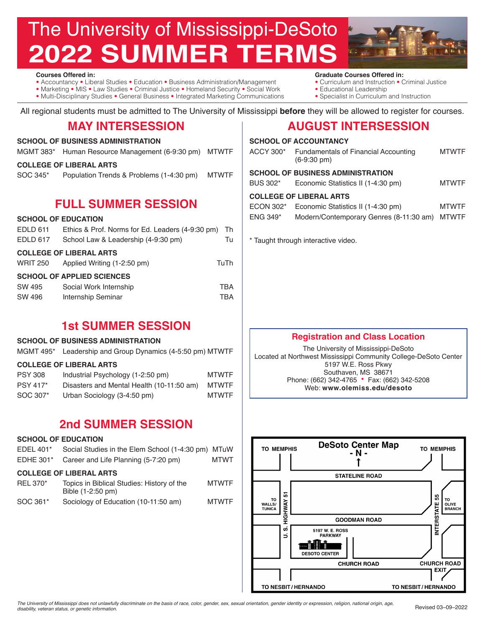# The University of Mississippi-DeSoto **2022 SUMMER TERMS**



**Courses Offered in:** 

- Accountancy Liberal Studies Education Business Administration/Management
- Marketing MIS Law Studies Criminal Justice Homeland Security Social Work
- Multi-Disciplinary Studies General Business Integrated Marketing Communications

• Curriculum and Instruction • Criminal Justice • Educational Leadership

**Graduate Courses Offered in:** 

• Specialist in Curriculum and Instruction

All regional students must be admitted to The University of Mississippi **before** they will be allowed to register for courses.

## **MAY INTERSESSION**

#### **SCHOOL OF BUSINESS ADMINISTRATION**

MGMT 383\* Human Resource Management (6-9:30 pm) MTWTF

#### **COLLEGE OF LIBERAL ARTS**

SOC 345\* Population Trends & Problems (1-4:30 pm) MTWTF

# **FULL SUMMER SESSION**

#### **SCHOOL OF EDUCATION**

| EDLD 611                          | Ethics & Prof. Norms for Ed. Leaders (4-9:30 pm) | -Th  |  |  |
|-----------------------------------|--------------------------------------------------|------|--|--|
| EDLD 617                          | School Law & Leadership (4-9:30 pm)              | Tu   |  |  |
|                                   | <b>COLLEGE OF LIBERAL ARTS</b>                   |      |  |  |
| <b>WRIT 250</b>                   | Applied Writing (1-2:50 pm)                      | TuTh |  |  |
| <b>SCHOOL OF APPLIED SCIENCES</b> |                                                  |      |  |  |
| SW 495                            | Social Work Internship                           | TBA  |  |  |
| SW 496                            | Internship Seminar                               | TBA  |  |  |

# **1st SUMMER SESSION**

#### **SCHOOL OF BUSINESS ADMINISTRATION**

|  |  | MGMT 495* Leadership and Group Dynamics (4-5:50 pm) MTWTF |  |  |
|--|--|-----------------------------------------------------------|--|--|
|--|--|-----------------------------------------------------------|--|--|

#### **COLLEGE OF LIBERAL ARTS**

| <b>PSY 308</b>  | Industrial Psychology (1-2:50 pm)         | <b>MTWTF</b> |
|-----------------|-------------------------------------------|--------------|
| <b>PSY 417*</b> | Disasters and Mental Health (10-11:50 am) | <b>MTWTF</b> |
| SOC 307*        | Urban Sociology (3-4:50 pm)               | <b>MTWTF</b> |

# **2nd SUMMER SESSION**

#### **SCHOOL OF EDUCATION**

EDEL 401\* Social Studies in the Elem School (1-4:30 pm) MTuW EDHE 301\* Career and Life Planning (5-7:20 pm) MTWT **COLLEGE OF LIBERAL ARTS** REL 370\* Topics in Biblical Studies: History of the MTWTF Bible (1-2:50 pm) SOC 361\* Sociology of Education (10-11:50 am) MTWTF

# **AUGUST INTERSESSION**

|                                     | <b>SCHOOL OF ACCOUNTANCY</b>                                         |              |  |  |
|-------------------------------------|----------------------------------------------------------------------|--------------|--|--|
| ACCY 300*                           | <b>Fundamentals of Financial Accounting</b><br>$(6-9:30 \text{ pm})$ | <b>MTWTF</b> |  |  |
|                                     | <b>SCHOOL OF BUSINESS ADMINISTRATION</b>                             |              |  |  |
| BUS 302*                            | Economic Statistics II (1-4:30 pm)                                   | <b>MTWTF</b> |  |  |
| <b>COLLEGE OF LIBERAL ARTS</b>      |                                                                      |              |  |  |
| ECON 302*                           | Economic Statistics II (1-4:30 pm)                                   | <b>MTWTF</b> |  |  |
| ENG 349*                            | Modern/Contemporary Genres (8-11:30 am)                              | MTWTF        |  |  |
| * Taught through interactive video. |                                                                      |              |  |  |

## **Registration and Class Location**

The University of Mississippi-DeSoto Located at Northwest Mississippi Community College-DeSoto Center 5197 W.E. Ross Pkwy Southaven, MS 38671 Phone: (662) 342-4765 • Fax: (662) 342-5208 Web: **www.olemiss.edu/desoto**